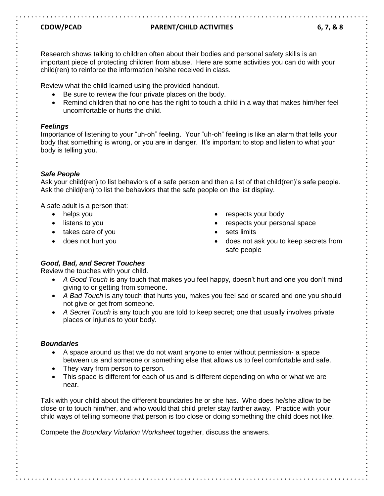## **CDOW/PCAD PARENT/CHILD ACTIVITIES 6, 7, & 8**

Research shows talking to children often about their bodies and personal safety skills is an important piece of protecting children from abuse. Here are some activities you can do with your child(ren) to reinforce the information he/she received in class.

Review what the child learned using the provided handout.

- Be sure to review the four private places on the body.
- Remind children that no one has the right to touch a child in a way that makes him/her feel uncomfortable or hurts the child.

## *Feelings*

Importance of listening to your "uh-oh" feeling. Your "uh-oh" feeling is like an alarm that tells your body that something is wrong, or you are in danger. It's important to stop and listen to what your body is telling you.

## *Safe People*

Ask your child(ren) to list behaviors of a safe person and then a list of that child(ren)'s safe people. Ask the child(ren) to list the behaviors that the safe people on the list display.

A safe adult is a person that:

- helps you
- listens to you
- takes care of you
- does not hurt you
- respects your body
- respects your personal space
- sets limits
- does not ask you to keep secrets from safe people

## *Good, Bad, and Secret Touches*

Review the touches with your child.

- *A Good Touch* is any touch that makes you feel happy, doesn't hurt and one you don't mind giving to or getting from someone.
- *A Bad Touch* is any touch that hurts you, makes you feel sad or scared and one you should not give or get from someone.
- *A Secret Touch* is any touch you are told to keep secret; one that usually involves private places or injuries to your body.

## *Boundaries*

- A space around us that we do not want anyone to enter without permission- a space between us and someone or something else that allows us to feel comfortable and safe.
- They vary from person to person.
- This space is different for each of us and is different depending on who or what we are near.

Talk with your child about the different boundaries he or she has. Who does he/she allow to be close or to touch him/her, and who would that child prefer stay farther away. Practice with your child ways of telling someone that person is too close or doing something the child does not like.

Compete the *Boundary Violation Worksheet* together, discuss the answers.